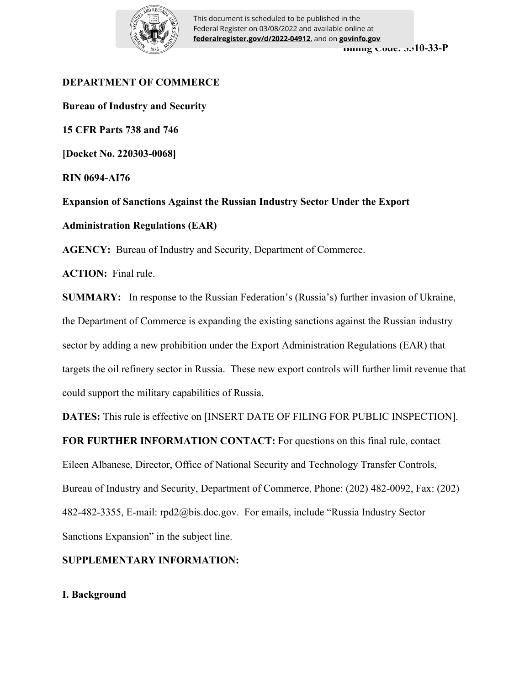

**Billing Code: 3510-33-P** This document is scheduled to be published in the Federal Register on 03/08/2022 and available online at **federalregister.gov/d/2022-04912**, and on **govinfo.gov**

# **DEPARTMENT OF COMMERCE**

**Bureau of Industry and Security 15 CFR Parts 738 and 746 [Docket No. 220303-0068] RIN 0694-AI76** 

**Expansion of Sanctions Against the Russian Industry Sector Under the Export Administration Regulations (EAR)**

**AGENCY:** Bureau of Industry and Security, Department of Commerce.

**ACTION:** Final rule.

**SUMMARY:** In response to the Russian Federation's (Russia's) further invasion of Ukraine, the Department of Commerce is expanding the existing sanctions against the Russian industry sector by adding a new prohibition under the Export Administration Regulations (EAR) that targets the oil refinery sector in Russia. These new export controls will further limit revenue that could support the military capabilities of Russia.

**DATES:** This rule is effective on [INSERT DATE OF FILING FOR PUBLIC INSPECTION].

**FOR FURTHER INFORMATION CONTACT:** For questions on this final rule, contact Eileen Albanese, Director, Office of National Security and Technology Transfer Controls, Bureau of Industry and Security, Department of Commerce, Phone: (202) 482-0092, Fax: (202) 482-482-3355, E-mail: rpd2@bis.doc.gov. For emails, include "Russia Industry Sector Sanctions Expansion" in the subject line.

# **SUPPLEMENTARY INFORMATION:**

# **I. Background**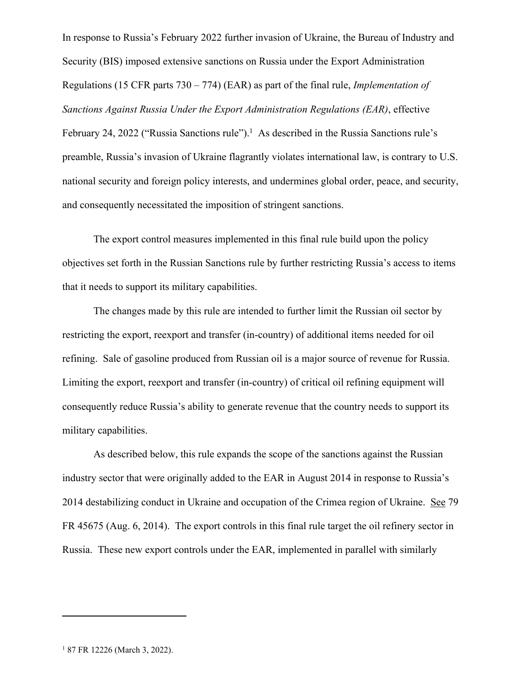In response to Russia's February 2022 further invasion of Ukraine, the Bureau of Industry and Security (BIS) imposed extensive sanctions on Russia under the Export Administration Regulations (15 CFR parts 730 – 774) (EAR) as part of the final rule, *Implementation of Sanctions Against Russia Under the Export Administration Regulations (EAR)*, effective February 24, 2022 ("Russia Sanctions rule").<sup>1</sup> As described in the Russia Sanctions rule's preamble, Russia's invasion of Ukraine flagrantly violates international law, is contrary to U.S. national security and foreign policy interests, and undermines global order, peace, and security, and consequently necessitated the imposition of stringent sanctions.

The export control measures implemented in this final rule build upon the policy objectives set forth in the Russian Sanctions rule by further restricting Russia's access to items that it needs to support its military capabilities.

The changes made by this rule are intended to further limit the Russian oil sector by restricting the export, reexport and transfer (in-country) of additional items needed for oil refining. Sale of gasoline produced from Russian oil is a major source of revenue for Russia. Limiting the export, reexport and transfer (in-country) of critical oil refining equipment will consequently reduce Russia's ability to generate revenue that the country needs to support its military capabilities.

As described below, this rule expands the scope of the sanctions against the Russian industry sector that were originally added to the EAR in August 2014 in response to Russia's 2014 destabilizing conduct in Ukraine and occupation of the Crimea region of Ukraine. See 79 FR 45675 (Aug. 6, 2014). The export controls in this final rule target the oil refinery sector in Russia. These new export controls under the EAR, implemented in parallel with similarly

<sup>1</sup> 87 FR 12226 (March 3, 2022).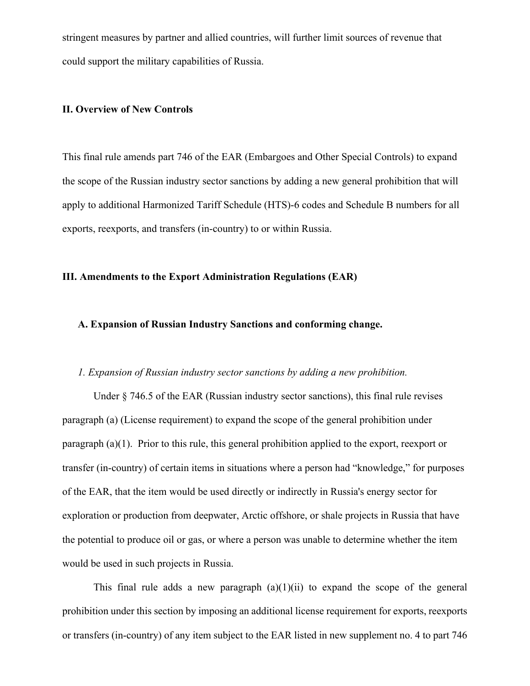stringent measures by partner and allied countries, will further limit sources of revenue that could support the military capabilities of Russia.

#### **II. Overview of New Controls**

This final rule amends part 746 of the EAR (Embargoes and Other Special Controls) to expand the scope of the Russian industry sector sanctions by adding a new general prohibition that will apply to additional Harmonized Tariff Schedule (HTS)-6 codes and Schedule B numbers for all exports, reexports, and transfers (in-country) to or within Russia.

### **III. Amendments to the Export Administration Regulations (EAR)**

## **A. Expansion of Russian Industry Sanctions and conforming change.**

#### *1. Expansion of Russian industry sector sanctions by adding a new prohibition.*

Under § 746.5 of the EAR (Russian industry sector sanctions), this final rule revises paragraph (a) (License requirement) to expand the scope of the general prohibition under paragraph (a)(1). Prior to this rule, this general prohibition applied to the export, reexport or transfer (in-country) of certain items in situations where a person had "knowledge," for purposes of the EAR, that the item would be used directly or indirectly in Russia's energy sector for exploration or production from deepwater, Arctic offshore, or shale projects in Russia that have the potential to produce oil or gas, or where a person was unable to determine whether the item would be used in such projects in Russia.

This final rule adds a new paragraph  $(a)(1)(ii)$  to expand the scope of the general prohibition under this section by imposing an additional license requirement for exports, reexports or transfers (in-country) of any item subject to the EAR listed in new supplement no. 4 to part 746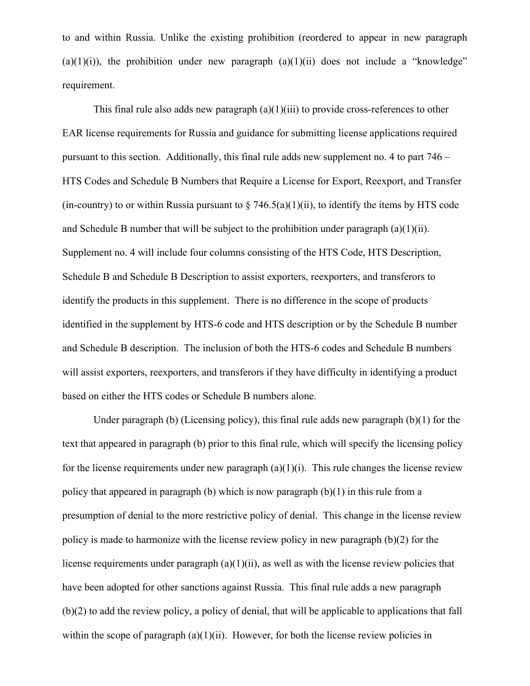to and within Russia. Unlike the existing prohibition (reordered to appear in new paragraph  $(a)(1)(i)$ , the prohibition under new paragraph  $(a)(1)(ii)$  does not include a "knowledge" requirement.

This final rule also adds new paragraph  $(a)(1)(iii)$  to provide cross-references to other EAR license requirements for Russia and guidance for submitting license applications required pursuant to this section. Additionally, this final rule adds new supplement no. 4 to part 746 – HTS Codes and Schedule B Numbers that Require a License for Export, Reexport, and Transfer (in-country) to or within Russia pursuant to  $\S$  746.5(a)(1)(ii), to identify the items by HTS code and Schedule B number that will be subject to the prohibition under paragraph  $(a)(1)(ii)$ . Supplement no. 4 will include four columns consisting of the HTS Code, HTS Description, Schedule B and Schedule B Description to assist exporters, reexporters, and transferors to identify the products in this supplement. There is no difference in the scope of products identified in the supplement by HTS-6 code and HTS description or by the Schedule B number and Schedule B description. The inclusion of both the HTS-6 codes and Schedule B numbers will assist exporters, reexporters, and transferors if they have difficulty in identifying a product based on either the HTS codes or Schedule B numbers alone.

Under paragraph (b) (Licensing policy), this final rule adds new paragraph  $(b)(1)$  for the text that appeared in paragraph (b) prior to this final rule, which will specify the licensing policy for the license requirements under new paragraph  $(a)(1)(i)$ . This rule changes the license review policy that appeared in paragraph (b) which is now paragraph (b)(1) in this rule from a presumption of denial to the more restrictive policy of denial. This change in the license review policy is made to harmonize with the license review policy in new paragraph (b)(2) for the license requirements under paragraph (a)(1)(ii), as well as with the license review policies that have been adopted for other sanctions against Russia. This final rule adds a new paragraph (b)(2) to add the review policy, a policy of denial, that will be applicable to applications that fall within the scope of paragraph  $(a)(1)(ii)$ . However, for both the license review policies in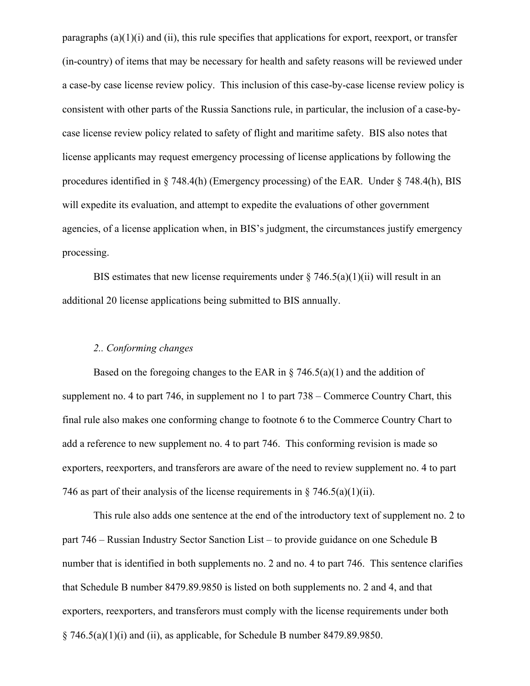paragraphs  $(a)(1)(i)$  and  $(ii)$ , this rule specifies that applications for export, reexport, or transfer (in-country) of items that may be necessary for health and safety reasons will be reviewed under a case-by case license review policy. This inclusion of this case-by-case license review policy is consistent with other parts of the Russia Sanctions rule, in particular, the inclusion of a case-bycase license review policy related to safety of flight and maritime safety. BIS also notes that license applicants may request emergency processing of license applications by following the procedures identified in § 748.4(h) (Emergency processing) of the EAR. Under § 748.4(h), BIS will expedite its evaluation, and attempt to expedite the evaluations of other government agencies, of a license application when, in BIS's judgment, the circumstances justify emergency processing.

BIS estimates that new license requirements under  $\S$  746.5(a)(1)(ii) will result in an additional 20 license applications being submitted to BIS annually.

# *2.. Conforming changes*

Based on the foregoing changes to the EAR in  $\S$  746.5(a)(1) and the addition of supplement no. 4 to part 746, in supplement no 1 to part 738 – Commerce Country Chart, this final rule also makes one conforming change to footnote 6 to the Commerce Country Chart to add a reference to new supplement no. 4 to part 746. This conforming revision is made so exporters, reexporters, and transferors are aware of the need to review supplement no. 4 to part 746 as part of their analysis of the license requirements in § 746.5(a)(1)(ii).

This rule also adds one sentence at the end of the introductory text of supplement no. 2 to part 746 – Russian Industry Sector Sanction List – to provide guidance on one Schedule B number that is identified in both supplements no. 2 and no. 4 to part 746. This sentence clarifies that Schedule B number 8479.89.9850 is listed on both supplements no. 2 and 4, and that exporters, reexporters, and transferors must comply with the license requirements under both  $\S$  746.5(a)(1)(i) and (ii), as applicable, for Schedule B number 8479.89.9850.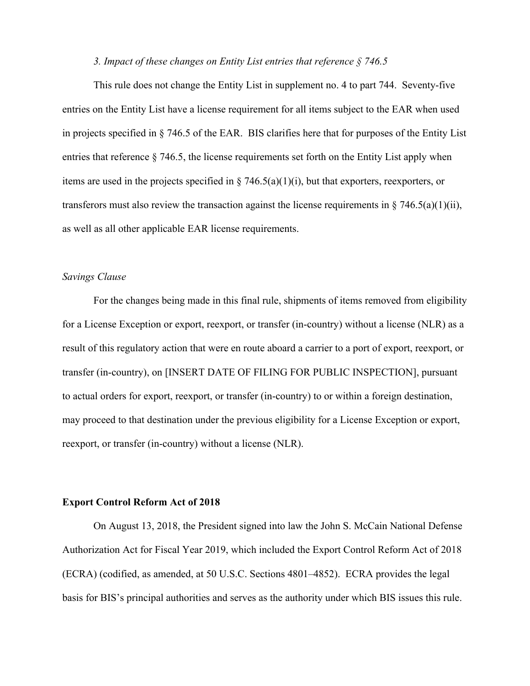#### *3. Impact of these changes on Entity List entries that reference § 746.5*

This rule does not change the Entity List in supplement no. 4 to part 744. Seventy-five entries on the Entity List have a license requirement for all items subject to the EAR when used in projects specified in § 746.5 of the EAR. BIS clarifies here that for purposes of the Entity List entries that reference § 746.5, the license requirements set forth on the Entity List apply when items are used in the projects specified in § 746.5(a)(1)(i), but that exporters, reexporters, or transferors must also review the transaction against the license requirements in  $\S 746.5(a)(1)(ii)$ , as well as all other applicable EAR license requirements.

#### *Savings Clause*

For the changes being made in this final rule, shipments of items removed from eligibility for a License Exception or export, reexport, or transfer (in-country) without a license (NLR) as a result of this regulatory action that were en route aboard a carrier to a port of export, reexport, or transfer (in-country), on [INSERT DATE OF FILING FOR PUBLIC INSPECTION], pursuant to actual orders for export, reexport, or transfer (in-country) to or within a foreign destination, may proceed to that destination under the previous eligibility for a License Exception or export, reexport, or transfer (in-country) without a license (NLR).

#### **Export Control Reform Act of 2018**

On August 13, 2018, the President signed into law the John S. McCain National Defense Authorization Act for Fiscal Year 2019, which included the Export Control Reform Act of 2018 (ECRA) (codified, as amended, at 50 U.S.C. Sections 4801–4852). ECRA provides the legal basis for BIS's principal authorities and serves as the authority under which BIS issues this rule.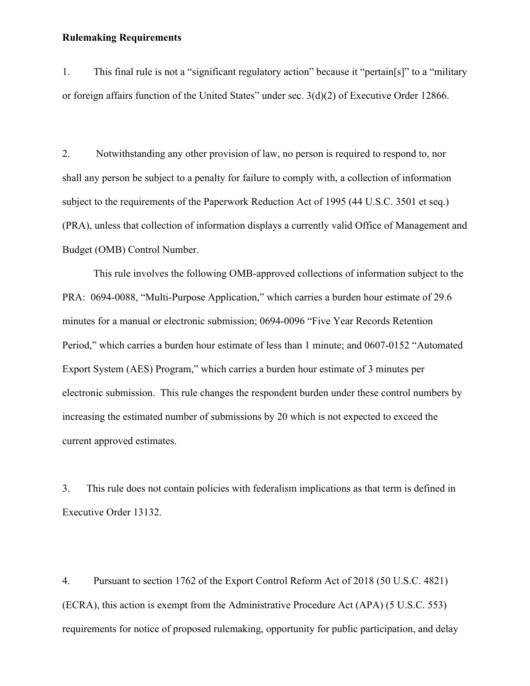#### **Rulemaking Requirements**

1. This final rule is not a "significant regulatory action" because it "pertain[s]" to a "military or foreign affairs function of the United States" under sec. 3(d)(2) of Executive Order 12866.

2. Notwithstanding any other provision of law, no person is required to respond to, nor shall any person be subject to a penalty for failure to comply with, a collection of information subject to the requirements of the Paperwork Reduction Act of 1995 (44 U.S.C. 3501 et seq.) (PRA), unless that collection of information displays a currently valid Office of Management and Budget (OMB) Control Number.

This rule involves the following OMB-approved collections of information subject to the PRA: 0694-0088, "Multi-Purpose Application," which carries a burden hour estimate of 29.6 minutes for a manual or electronic submission; 0694-0096 "Five Year Records Retention Period," which carries a burden hour estimate of less than 1 minute; and 0607-0152 "Automated Export System (AES) Program," which carries a burden hour estimate of 3 minutes per electronic submission. This rule changes the respondent burden under these control numbers by increasing the estimated number of submissions by 20 which is not expected to exceed the current approved estimates.

3. This rule does not contain policies with federalism implications as that term is defined in Executive Order 13132.

4. Pursuant to section 1762 of the Export Control Reform Act of 2018 (50 U.S.C. 4821) (ECRA), this action is exempt from the Administrative Procedure Act (APA) (5 U.S.C. 553) requirements for notice of proposed rulemaking, opportunity for public participation, and delay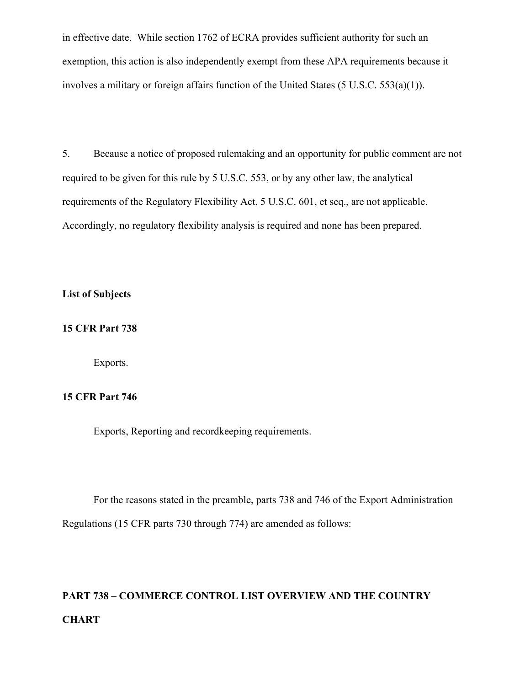in effective date. While section 1762 of ECRA provides sufficient authority for such an exemption, this action is also independently exempt from these APA requirements because it involves a military or foreign affairs function of the United States (5 U.S.C. 553(a)(1)).

5. Because a notice of proposed rulemaking and an opportunity for public comment are not required to be given for this rule by 5 U.S.C. 553, or by any other law, the analytical requirements of the Regulatory Flexibility Act, 5 U.S.C. 601, et seq., are not applicable. Accordingly, no regulatory flexibility analysis is required and none has been prepared.

#### **List of Subjects**

# **15 CFR Part 738**

Exports.

# **15 CFR Part 746**

Exports, Reporting and recordkeeping requirements.

For the reasons stated in the preamble, parts 738 and 746 of the Export Administration Regulations (15 CFR parts 730 through 774) are amended as follows:

# **PART 738 – COMMERCE CONTROL LIST OVERVIEW AND THE COUNTRY CHART**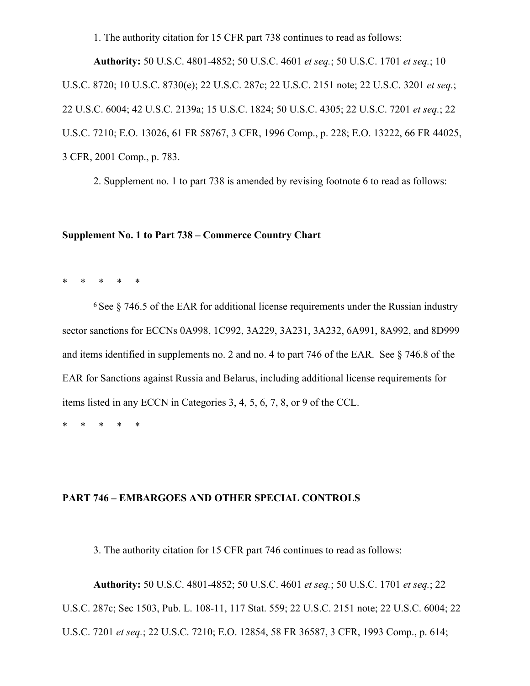1. The authority citation for 15 CFR part 738 continues to read as follows:

**Authority:** 50 U.S.C. 4801-4852; 50 U.S.C. 4601 *et seq.*; 50 U.S.C. 1701 *et seq.*; 10 U.S.C. 8720; 10 U.S.C. 8730(e); 22 U.S.C. 287c; 22 U.S.C. 2151 note; 22 U.S.C. 3201 *et seq.*; 22 U.S.C. 6004; 42 U.S.C. 2139a; 15 U.S.C. 1824; 50 U.S.C. 4305; 22 U.S.C. 7201 *et seq.*; 22 U.S.C. 7210; E.O. 13026, 61 FR 58767, 3 CFR, 1996 Comp., p. 228; E.O. 13222, 66 FR 44025, 3 CFR, 2001 Comp., p. 783.

2. Supplement no. 1 to part 738 is amended by revising footnote 6 to read as follows:

#### **Supplement No. 1 to Part 738 – Commerce Country Chart**

\* \* \* \* \*

 $6$  See  $8$  746.5 of the EAR for additional license requirements under the Russian industry sector sanctions for ECCNs 0A998, 1C992, 3A229, 3A231, 3A232, 6A991, 8A992, and 8D999 and items identified in supplements no. 2 and no. 4 to part 746 of the EAR. See § 746.8 of the EAR for Sanctions against Russia and Belarus, including additional license requirements for items listed in any ECCN in Categories 3, 4, 5, 6, 7, 8, or 9 of the CCL.

\* \* \* \* \*

# **PART 746 – EMBARGOES AND OTHER SPECIAL CONTROLS**

3. The authority citation for 15 CFR part 746 continues to read as follows:

**Authority:** 50 U.S.C. 4801-4852; 50 U.S.C. 4601 *et seq.*; 50 U.S.C. 1701 *et seq.*; 22

U.S.C. 287c; Sec 1503, Pub. L. 108-11, 117 Stat. 559; 22 U.S.C. 2151 note; 22 U.S.C. 6004; 22

U.S.C. 7201 *et seq.*; 22 U.S.C. 7210; E.O. 12854, 58 FR 36587, 3 CFR, 1993 Comp., p. 614;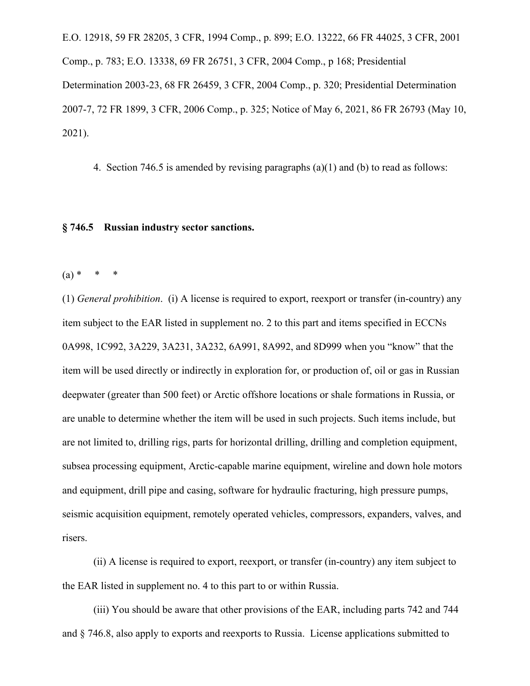E.O. 12918, 59 FR 28205, 3 CFR, 1994 Comp., p. 899; E.O. 13222, 66 FR 44025, 3 CFR, 2001 Comp., p. 783; E.O. 13338, 69 FR 26751, 3 CFR, 2004 Comp., p 168; Presidential Determination 2003-23, 68 FR 26459, 3 CFR, 2004 Comp., p. 320; Presidential Determination 2007-7, 72 FR 1899, 3 CFR, 2006 Comp., p. 325; Notice of May 6, 2021, 86 FR 26793 (May 10, 2021).

4. Section 746.5 is amended by revising paragraphs (a)(1) and (b) to read as follows:

#### **§ 746.5 Russian industry sector sanctions.**

 $(a) * * * *$ 

(1) *General prohibition*. (i) A license is required to export, reexport or transfer (in-country) any item subject to the EAR listed in supplement no. 2 to this part and items specified in ECCNs 0A998, 1C992, 3A229, 3A231, 3A232, 6A991, 8A992, and 8D999 when you "know" that the item will be used directly or indirectly in exploration for, or production of, oil or gas in Russian deepwater (greater than 500 feet) or Arctic offshore locations or shale formations in Russia, or are unable to determine whether the item will be used in such projects. Such items include, but are not limited to, drilling rigs, parts for horizontal drilling, drilling and completion equipment, subsea processing equipment, Arctic-capable marine equipment, wireline and down hole motors and equipment, drill pipe and casing, software for hydraulic fracturing, high pressure pumps, seismic acquisition equipment, remotely operated vehicles, compressors, expanders, valves, and risers.

(ii) A license is required to export, reexport, or transfer (in-country) any item subject to the EAR listed in supplement no. 4 to this part to or within Russia.

(iii) You should be aware that other provisions of the EAR, including parts 742 and 744 and § 746.8, also apply to exports and reexports to Russia. License applications submitted to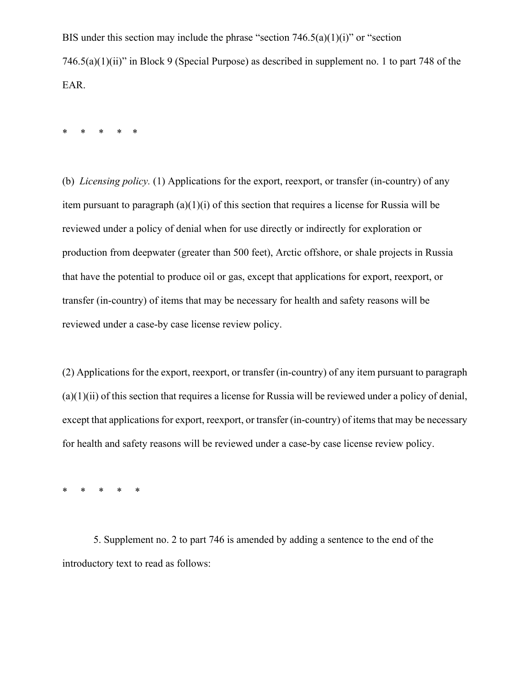BIS under this section may include the phrase "section  $746.5(a)(1)(i)$ " or "section 746.5(a)(1)(ii)" in Block 9 (Special Purpose) as described in supplement no. 1 to part 748 of the EAR.

\* \* \* \* \*

(b) *Licensing policy.* (1) Applications for the export, reexport, or transfer (in-country) of any item pursuant to paragraph (a)(1)(i) of this section that requires a license for Russia will be reviewed under a policy of denial when for use directly or indirectly for exploration or production from deepwater (greater than 500 feet), Arctic offshore, or shale projects in Russia that have the potential to produce oil or gas, except that applications for export, reexport, or transfer (in-country) of items that may be necessary for health and safety reasons will be reviewed under a case-by case license review policy.

(2) Applications for the export, reexport, or transfer (in-country) of any item pursuant to paragraph  $(a)(1)(ii)$  of this section that requires a license for Russia will be reviewed under a policy of denial, except that applications for export, reexport, or transfer (in-country) of items that may be necessary for health and safety reasons will be reviewed under a case-by case license review policy.

\* \* \* \* \*

5. Supplement no. 2 to part 746 is amended by adding a sentence to the end of the introductory text to read as follows: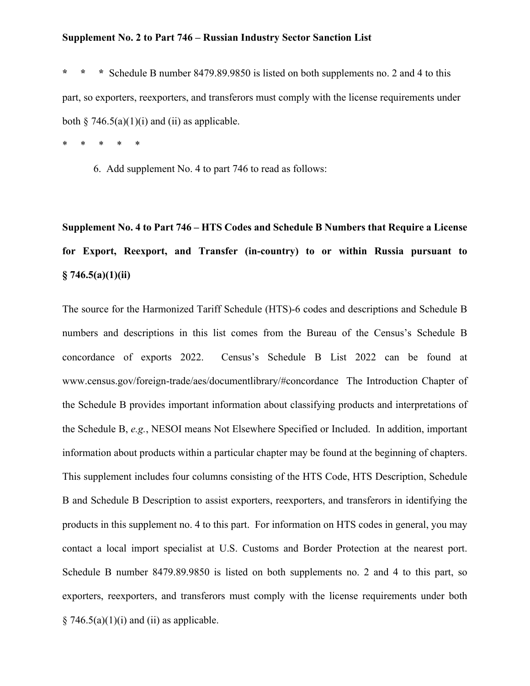#### **Supplement No. 2 to Part 746 – Russian Industry Sector Sanction List**

**\* \* \*** Schedule B number 8479.89.9850 is listed on both supplements no. 2 and 4 to this part, so exporters, reexporters, and transferors must comply with the license requirements under both  $\S$  746.5(a)(1)(i) and (ii) as applicable.

\* \* \* \* \*

6. Add supplement No. 4 to part 746 to read as follows:

**Supplement No. 4 to Part 746 – HTS Codes and Schedule B Numbers that Require a License for Export, Reexport, and Transfer (in-country) to or within Russia pursuant to § 746.5(a)(1)(ii)**

The source for the Harmonized Tariff Schedule (HTS)-6 codes and descriptions and Schedule B numbers and descriptions in this list comes from the Bureau of the Census's Schedule B concordance of exports 2022. Census's Schedule B List 2022 can be found at www.census.gov/foreign-trade/aes/documentlibrary/#concordance The Introduction Chapter of the Schedule B provides important information about classifying products and interpretations of the Schedule B, *e.g.*, NESOI means Not Elsewhere Specified or Included. In addition, important information about products within a particular chapter may be found at the beginning of chapters. This supplement includes four columns consisting of the HTS Code, HTS Description, Schedule B and Schedule B Description to assist exporters, reexporters, and transferors in identifying the products in this supplement no. 4 to this part. For information on HTS codes in general, you may contact a local import specialist at U.S. Customs and Border Protection at the nearest port. Schedule B number 8479.89.9850 is listed on both supplements no. 2 and 4 to this part, so exporters, reexporters, and transferors must comply with the license requirements under both  $§ 746.5(a)(1)(i)$  and (ii) as applicable.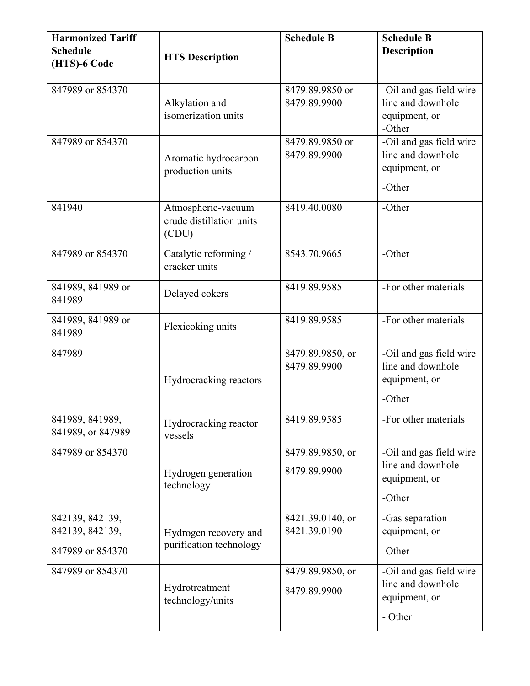| <b>Harmonized Tariff</b><br><b>Schedule</b><br>(HTS)-6 Code | <b>HTS Description</b>                                  | <b>Schedule B</b>                | <b>Schedule B</b><br><b>Description</b>                                  |
|-------------------------------------------------------------|---------------------------------------------------------|----------------------------------|--------------------------------------------------------------------------|
| 847989 or 854370                                            | Alkylation and<br>isomerization units                   | 8479.89.9850 or<br>8479.89.9900  | -Oil and gas field wire<br>line and downhole<br>equipment, or<br>-Other  |
| 847989 or 854370                                            | Aromatic hydrocarbon<br>production units                | 8479.89.9850 or<br>8479.89.9900  | -Oil and gas field wire<br>line and downhole<br>equipment, or<br>-Other  |
| 841940                                                      | Atmospheric-vacuum<br>crude distillation units<br>(CDU) | 8419.40.0080                     | -Other                                                                   |
| 847989 or 854370                                            | Catalytic reforming /<br>cracker units                  | 8543.70.9665                     | -Other                                                                   |
| 841989, 841989 or<br>841989                                 | Delayed cokers                                          | 8419.89.9585                     | -For other materials                                                     |
| 841989, 841989 or<br>841989                                 | Flexicoking units                                       | 8419.89.9585                     | -For other materials                                                     |
| 847989                                                      | Hydrocracking reactors                                  | 8479.89.9850, or<br>8479.89.9900 | -Oil and gas field wire<br>line and downhole<br>equipment, or<br>-Other  |
| 841989, 841989,<br>841989, or 847989                        | Hydrocracking reactor<br>vessels                        | 8419.89.9585                     | -For other materials                                                     |
| 847989 or 854370                                            | Hydrogen generation<br>technology                       | 8479.89.9850, or<br>8479.89.9900 | -Oil and gas field wire<br>line and downhole<br>equipment, or<br>-Other  |
| 842139, 842139,<br>842139, 842139,<br>847989 or 854370      | Hydrogen recovery and<br>purification technology        | 8421.39.0140, or<br>8421.39.0190 | -Gas separation<br>equipment, or<br>-Other                               |
| 847989 or 854370                                            | Hydrotreatment<br>technology/units                      | 8479.89.9850, or<br>8479.89.9900 | -Oil and gas field wire<br>line and downhole<br>equipment, or<br>- Other |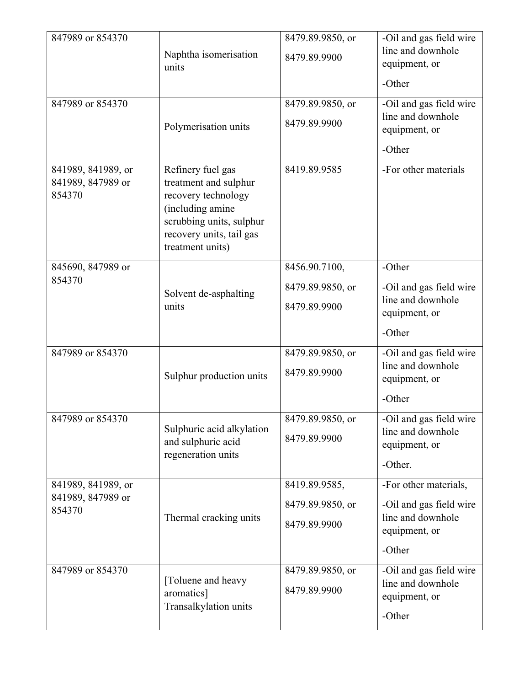| 847989 or 854370                                  | Naphtha isomerisation<br>units                                                                                                                                    | 8479.89.9850, or<br>8479.89.9900                  | -Oil and gas field wire<br>line and downhole<br>equipment, or<br>-Other                          |
|---------------------------------------------------|-------------------------------------------------------------------------------------------------------------------------------------------------------------------|---------------------------------------------------|--------------------------------------------------------------------------------------------------|
| 847989 or 854370                                  | Polymerisation units                                                                                                                                              | 8479.89.9850, or<br>8479.89.9900                  | -Oil and gas field wire<br>line and downhole<br>equipment, or<br>-Other                          |
| 841989, 841989, or<br>841989, 847989 or<br>854370 | Refinery fuel gas<br>treatment and sulphur<br>recovery technology<br>(including amine<br>scrubbing units, sulphur<br>recovery units, tail gas<br>treatment units) | 8419.89.9585                                      | -For other materials                                                                             |
| 845690, 847989 or<br>854370                       | Solvent de-asphalting<br>units                                                                                                                                    | 8456.90.7100,<br>8479.89.9850, or<br>8479.89.9900 | -Other<br>-Oil and gas field wire<br>line and downhole<br>equipment, or<br>-Other                |
| 847989 or 854370                                  | Sulphur production units                                                                                                                                          | 8479.89.9850, or<br>8479.89.9900                  | -Oil and gas field wire<br>line and downhole<br>equipment, or<br>-Other                          |
| 847989 or 854370                                  | Sulphuric acid alkylation<br>and sulphuric acid<br>regeneration units                                                                                             | 8479.89.9850, or<br>8479.89.9900                  | -Oil and gas field wire<br>line and downhole<br>equipment, or<br>-Other.                         |
| 841989, 841989, or<br>841989, 847989 or<br>854370 | Thermal cracking units                                                                                                                                            | 8419.89.9585,<br>8479.89.9850, or<br>8479.89.9900 | -For other materials,<br>-Oil and gas field wire<br>line and downhole<br>equipment, or<br>-Other |
| 847989 or 854370                                  | [Toluene and heavy<br>aromatics]<br>Transalkylation units                                                                                                         | 8479.89.9850, or<br>8479.89.9900                  | -Oil and gas field wire<br>line and downhole<br>equipment, or<br>-Other                          |